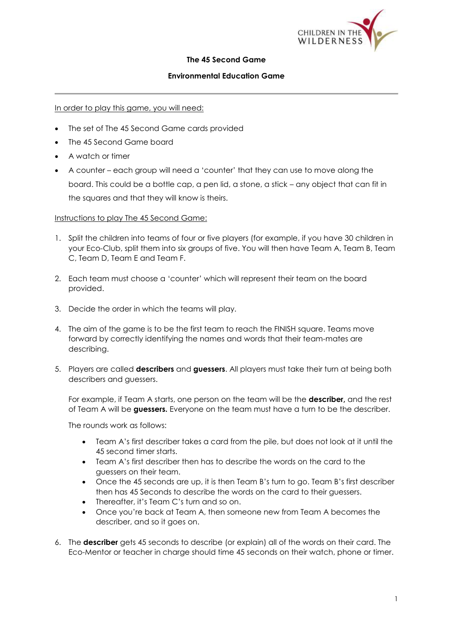

## **The 45 Second Game**

## **Environmental Education Game**

## In order to play this game, you will need:

- The set of The 45 Second Game cards provided
- The 45 Second Game board
- A watch or timer
- A counter each group will need a 'counter' that they can use to move along the board. This could be a bottle cap, a pen lid, a stone, a stick – any object that can fit in the squares and that they will know is theirs.

## Instructions to play The 45 Second Game:

- 1. Split the children into teams of four or five players (for example, if you have 30 children in your Eco-Club, split them into six groups of five. You will then have Team A, Team B, Team C, Team D, Team E and Team F.
- 2. Each team must choose a 'counter' which will represent their team on the board provided.
- 3. Decide the order in which the teams will play.
- 4. The aim of the game is to be the first team to reach the FINISH square. Teams move forward by correctly identifying the names and words that their team-mates are describing.
- 5. Players are called **describers** and **guessers**. All players must take their turn at being both describers and guessers.

For example, if Team A starts, one person on the team will be the **describer,** and the rest of Team A will be **guessers.** Everyone on the team must have a turn to be the describer.

The rounds work as follows:

- Team A's first describer takes a card from the pile, but does not look at it until the 45 second timer starts.
- Team A's first describer then has to describe the words on the card to the guessers on their team.
- Once the 45 seconds are up, it is then Team B's turn to go. Team B's first describer then has 45 Seconds to describe the words on the card to their guessers.
- Thereafter, it's Team C's turn and so on.
- Once you're back at Team A, then someone new from Team A becomes the describer, and so it goes on.
- 6. The **describer** gets 45 seconds to describe (or explain) all of the words on their card. The Eco-Mentor or teacher in charge should time 45 seconds on their watch, phone or timer.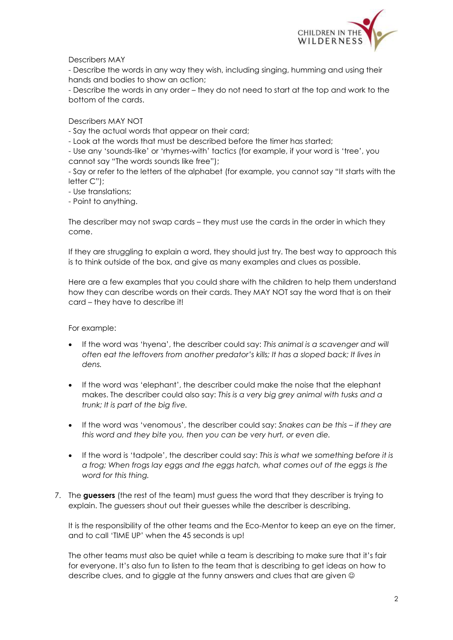

Describers MAY

- Describe the words in any way they wish, including singing, humming and using their hands and bodies to show an action;

- Describe the words in any order – they do not need to start at the top and work to the bottom of the cards.

Describers MAY NOT

- Say the actual words that appear on their card;

- Look at the words that must be described before the timer has started;

- Use any 'sounds-like' or 'rhymes-with' tactics (for example, if your word is 'tree', you cannot say "The words sounds like free");

- Say or refer to the letters of the alphabet (for example, you cannot say "It starts with the letter C");

- Use translations;

- Point to anything.

The describer may not swap cards – they must use the cards in the order in which they come.

If they are struggling to explain a word, they should just try. The best way to approach this is to think outside of the box, and give as many examples and clues as possible.

Here are a few examples that you could share with the children to help them understand how they can describe words on their cards. They MAY NOT say the word that is on their card – they have to describe it!

For example:

- If the word was 'hyena', the describer could say: *This animal is a scavenger and will often eat the leftovers from another predator's kills; It has a sloped back; It lives in dens.*
- If the word was 'elephant', the describer could make the noise that the elephant makes. The describer could also say: *This is a very big grey animal with tusks and a trunk; It is part of the big five.*
- If the word was 'venomous', the describer could say: *Snakes can be this – if they are this word and they bite you, then you can be very hurt, or even die.*
- If the word is 'tadpole', the describer could say: *This is what we something before it is a frog; When frogs lay eggs and the eggs hatch, what comes out of the eggs is the word for this thing.*
- 7. The **guessers** (the rest of the team) must guess the word that they describer is trying to explain. The guessers shout out their guesses while the describer is describing.

It is the responsibility of the other teams and the Eco-Mentor to keep an eye on the timer, and to call 'TIME UP' when the 45 seconds is up!

The other teams must also be quiet while a team is describing to make sure that it's fair for everyone. It's also fun to listen to the team that is describing to get ideas on how to describe clues, and to giggle at the funny answers and clues that are given  $\circledcirc$